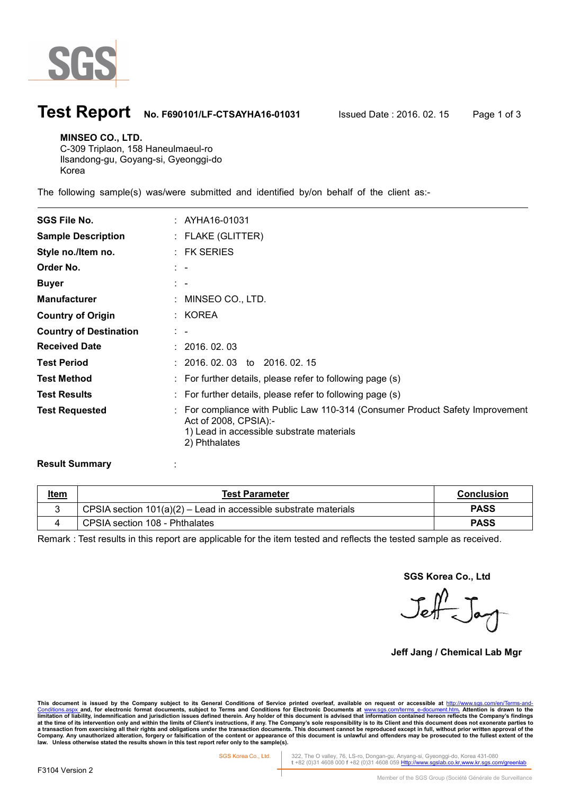

## **Test Report No. F690101/LF-CTSAYHA16-01031** Issued Date : 2016. 02. 15 Page 1 of 3

#### **MINSEO CO., LTD.**

 $\overline{a}$ 

C-309 Triplaon, 158 Haneulmaeul-ro Ilsandong-gu, Goyang-si, Gyeonggi-do Korea

The following sample(s) was/were submitted and identified by/on behalf of the client as:-

| <b>SGS File No.</b>           | : AYHA16-01031                                                                                                                                                       |
|-------------------------------|----------------------------------------------------------------------------------------------------------------------------------------------------------------------|
| <b>Sample Description</b>     | $:$ FLAKE (GLITTER)                                                                                                                                                  |
| Style no./Item no.            | $:$ FK SERIES                                                                                                                                                        |
| Order No.                     | $\sim$ $-$                                                                                                                                                           |
| <b>Buyer</b>                  | $\mathbb{R}^n$                                                                                                                                                       |
| <b>Manufacturer</b>           | $:$ MINSEO CO., LTD.                                                                                                                                                 |
| <b>Country of Origin</b>      | : KOREA                                                                                                                                                              |
| <b>Country of Destination</b> | $\mathbb{R}^n$                                                                                                                                                       |
| <b>Received Date</b>          | : 2016.02.03                                                                                                                                                         |
| <b>Test Period</b>            | $: 2016.02.03$ to 2016.02.15                                                                                                                                         |
| <b>Test Method</b>            | : For further details, please refer to following page (s)                                                                                                            |
| <b>Test Results</b>           | $\therefore$ For further details, please refer to following page (s)                                                                                                 |
| <b>Test Requested</b>         | : For compliance with Public Law 110-314 (Consumer Product Safety Improvement<br>Act of 2008, CPSIA):-<br>1) Lead in accessible substrate materials<br>2) Phthalates |

#### **Result Summary** :

| <u>Item</u> | <b>Test Parameter</b>                                              | <b>Conclusion</b> |
|-------------|--------------------------------------------------------------------|-------------------|
|             | CPSIA section $101(a)(2)$ – Lead in accessible substrate materials | <b>PASS</b>       |
|             | CPSIA section 108 - Phthalates                                     | <b>PASS</b>       |

Remark : Test results in this report are applicable for the item tested and reflects the tested sample as received.

**SGS Korea Co., Ltd** 

 $\sqrt{2}$ 

**Jeff Jang / Chemical Lab Mgr** 

This document is issued by the Company subject to its General Conditions of Service printed overleaf, available on request or accessible at <u>http://www.sgs.com/en/Terms-and-</u><br><u>Conditions.aspx a</u>nd, for electronic format do limitation of liability, indemnification and jurisdiction issues defined therein. Any holder of this document is advised that information contained hereon reflects the Company's findings<br>at the time of its intervention onl **law. Unless otherwise stated the results shown in this test report refer only to the sample(s).**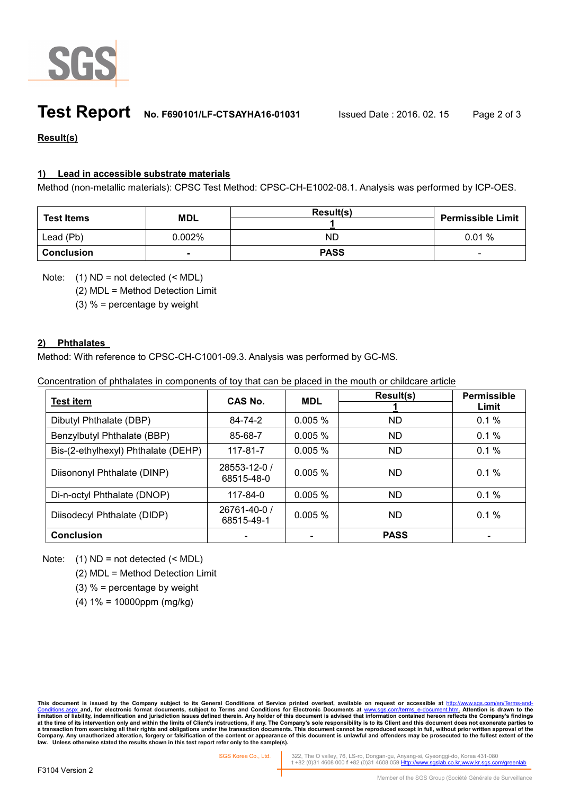

## **Test Report No. F690101/LF-CTSAYHA16-01031** Issued Date : 2016. 02. 15 Page 2 of 3

## **Result(s)**

### **1) Lead in accessible substrate materials**

Method (non-metallic materials): CPSC Test Method: CPSC-CH-E1002-08.1. Analysis was performed by ICP-OES.

| <b>Test Items</b> | <b>MDL</b>     | Result(s)   | <b>Permissible Limit</b> |
|-------------------|----------------|-------------|--------------------------|
| Lead (Pb)         | $0.002\%$      | ND          | 0.01%                    |
| <b>Conclusion</b> | $\blacksquare$ | <b>PASS</b> | $\sim$                   |

Note:  $(1)$  ND = not detected  $(<sub>MDL</sub>)$ 

(2) MDL = Method Detection Limit

(3)  $%$  = percentage by weight

### **2) Phthalates**

Method: With reference to CPSC-CH-C1001-09.3. Analysis was performed by GC-MS.

|  | Concentration of phthalates in components of toy that can be placed in the mouth or childcare article |  |  |  |  |  |
|--|-------------------------------------------------------------------------------------------------------|--|--|--|--|--|
|--|-------------------------------------------------------------------------------------------------------|--|--|--|--|--|

| <b>Test item</b>                    | CAS No.                    | <b>MDL</b> | Result(s)   | <b>Permissible</b><br>Limit |
|-------------------------------------|----------------------------|------------|-------------|-----------------------------|
|                                     |                            |            |             |                             |
| Dibutyl Phthalate (DBP)             | 84-74-2                    | 0.005%     | <b>ND</b>   | 0.1%                        |
| Benzylbutyl Phthalate (BBP)         | 85-68-7                    | 0.005%     | <b>ND</b>   | 0.1%                        |
| Bis-(2-ethylhexyl) Phthalate (DEHP) | $117 - 81 - 7$             | $0.005\%$  | ND.         | 0.1%                        |
| Diisononyl Phthalate (DINP)         | 28553-12-0 /<br>68515-48-0 | $0.005 \%$ | ND.         | $0.1\%$                     |
| Di-n-octyl Phthalate (DNOP)         | 117-84-0                   | $0.005 \%$ | ND.         | 0.1%                        |
| Diisodecyl Phthalate (DIDP)         | 26761-40-0 /<br>68515-49-1 | $0.005 \%$ | ND.         | $0.1\%$                     |
| <b>Conclusion</b>                   |                            |            | <b>PASS</b> |                             |

Note:  $(1)$  ND = not detected  $(<sub>MDL</sub>)$ 

(2) MDL = Method Detection Limit

(3)  $%$  = percentage by weight

(4) 1% = 10000ppm (mg/kg)

This document is issued by the Company subject to its General Conditions of Service printed overleaf, available on request or accessible at <u>http://www.sgs.com/en/Terms-and-</u><br><u>Conditions.aspx a</u>nd, for electronic format do limitation of liability, indemnification and jurisdiction issues defined therein. Any holder of this document is advised that information contained hereon reflects the Company's findings<br>at the time of its intervention onl **law. Unless otherwise stated the results shown in this test report refer only to the sample(s).**